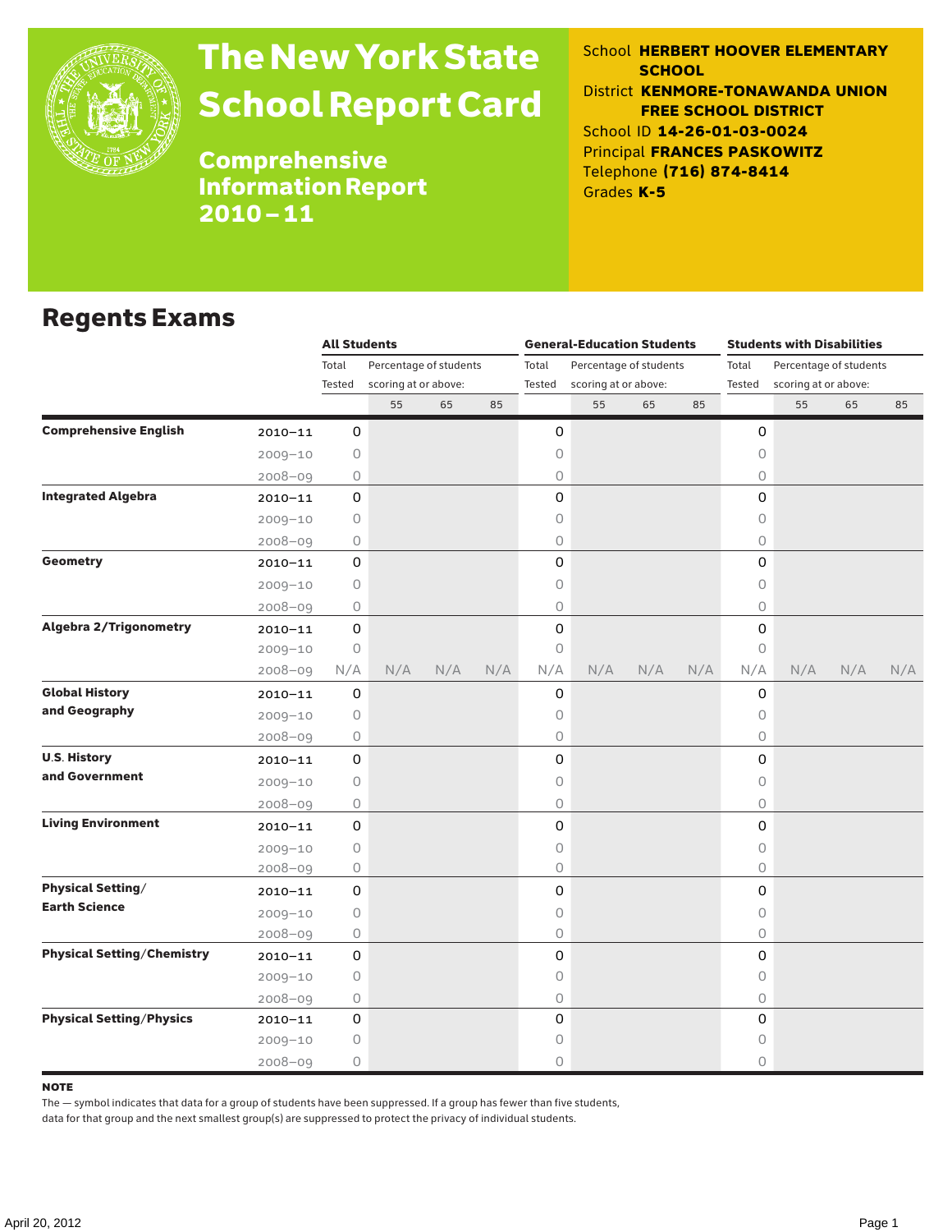

# The New York State School Report Card

School **HERBERT HOOVER ELEMENTARY SCHOOL** District **KENMORE-TONAWANDA UNION FREE SCHOOL DISTRICT** School ID **14-26-01-03-0024** Principal **FRANCES PASKOWITZ** Telephone **(716) 874-8414** Grades **K-5**

Comprehensive Information Report 2010–11

### Regents Exams

|                                   |             | <b>All Students</b> |                                                |     |     |                 | <b>General-Education Students</b> |                        |     | <b>Students with Disabilities</b> |                        |     |     |  |
|-----------------------------------|-------------|---------------------|------------------------------------------------|-----|-----|-----------------|-----------------------------------|------------------------|-----|-----------------------------------|------------------------|-----|-----|--|
|                                   |             | Total               | Percentage of students<br>scoring at or above: |     |     | Total<br>Tested |                                   | Percentage of students |     | Total<br>Tested                   | Percentage of students |     |     |  |
|                                   |             | Tested              |                                                |     |     |                 | scoring at or above:              |                        |     |                                   | scoring at or above:   |     |     |  |
|                                   |             |                     | 55                                             | 65  | 85  |                 | 55                                | 65                     | 85  |                                   | 55                     | 65  | 85  |  |
| <b>Comprehensive English</b>      | $2010 - 11$ | 0                   |                                                |     |     | 0               |                                   |                        |     | 0                                 |                        |     |     |  |
|                                   | $2009 - 10$ | 0                   |                                                |     |     | 0               |                                   |                        |     | 0                                 |                        |     |     |  |
|                                   | $2008 - 09$ | 0                   |                                                |     |     | 0               |                                   |                        |     | $\circ$                           |                        |     |     |  |
| <b>Integrated Algebra</b>         | $2010 - 11$ | 0                   |                                                |     |     | 0               |                                   |                        |     | $\Omega$                          |                        |     |     |  |
|                                   | $2009 - 10$ | 0                   |                                                |     |     | 0               |                                   |                        |     | 0                                 |                        |     |     |  |
|                                   | $2008 - 09$ | 0                   |                                                |     |     | 0               |                                   |                        |     | $\bigcirc$                        |                        |     |     |  |
| <b>Geometry</b>                   | $2010 - 11$ | 0                   |                                                |     |     | 0               |                                   |                        |     | 0                                 |                        |     |     |  |
|                                   | $2009 - 10$ | $\circ$             |                                                |     |     | 0               |                                   |                        |     | 0                                 |                        |     |     |  |
|                                   | $2008 - 09$ | 0                   |                                                |     |     | 0               |                                   |                        |     | $\circ$                           |                        |     |     |  |
| <b>Algebra 2/Trigonometry</b>     | $2010 - 11$ | 0                   |                                                |     |     | 0               |                                   |                        |     | 0                                 |                        |     |     |  |
|                                   | $2009 - 10$ | $\bigcirc$          |                                                |     |     | 0               |                                   |                        |     | $\circ$                           |                        |     |     |  |
|                                   | $2008 - 09$ | N/A                 | N/A                                            | N/A | N/A | N/A             | N/A                               | N/A                    | N/A | N/A                               | N/A                    | N/A | N/A |  |
| <b>Global History</b>             | $2010 - 11$ | 0                   |                                                |     |     | 0               |                                   |                        |     | 0                                 |                        |     |     |  |
| and Geography                     | $2009 - 10$ | 0                   |                                                |     |     | 0               |                                   |                        |     | 0                                 |                        |     |     |  |
|                                   | $2008 - 09$ | 0                   |                                                |     |     | 0               |                                   |                        |     | 0                                 |                        |     |     |  |
| <b>U.S. History</b>               | $2010 - 11$ | 0                   |                                                |     |     | 0               |                                   |                        |     | 0                                 |                        |     |     |  |
| and Government                    | $2009 - 10$ | 0                   |                                                |     |     | 0               |                                   |                        |     | $\circ$                           |                        |     |     |  |
|                                   | $2008 - 09$ | 0                   |                                                |     |     | 0               |                                   |                        |     | $\circ$                           |                        |     |     |  |
| <b>Living Environment</b>         | $2010 - 11$ | 0                   |                                                |     |     | 0               |                                   |                        |     | 0                                 |                        |     |     |  |
|                                   | $2009 - 10$ | 0                   |                                                |     |     | 0               |                                   |                        |     | $\bigcirc$                        |                        |     |     |  |
|                                   | $2008 - 09$ | 0                   |                                                |     |     | 0               |                                   |                        |     | $\circ$                           |                        |     |     |  |
| <b>Physical Setting/</b>          | $2010 - 11$ | 0                   |                                                |     |     | 0               |                                   |                        |     | 0                                 |                        |     |     |  |
| <b>Earth Science</b>              | $2009 - 10$ | 0                   |                                                |     |     | 0               |                                   |                        |     | $\circ$                           |                        |     |     |  |
|                                   | $2008 - 09$ | 0                   |                                                |     |     | 0               |                                   |                        |     | $\circ$                           |                        |     |     |  |
| <b>Physical Setting/Chemistry</b> | $2010 - 11$ | 0                   |                                                |     |     | 0               |                                   |                        |     | 0                                 |                        |     |     |  |
|                                   | $2009 - 10$ | 0                   |                                                |     |     | 0               |                                   |                        |     | $\circ$                           |                        |     |     |  |
|                                   | $2008 - 09$ | 0                   |                                                |     |     | 0               |                                   |                        |     | $\circ$                           |                        |     |     |  |
| <b>Physical Setting/Physics</b>   | $2010 - 11$ | 0                   |                                                |     |     | 0               |                                   |                        |     | 0                                 |                        |     |     |  |
|                                   | $2009 - 10$ | 0                   |                                                |     |     | 0               |                                   |                        |     | 0                                 |                        |     |     |  |
|                                   | $2008 - 09$ | 0                   |                                                |     |     | 0               |                                   |                        |     | $\circ$                           |                        |     |     |  |

#### **NOTE**

The — symbol indicates that data for a group of students have been suppressed. If a group has fewer than five students,

data for that group and the next smallest group(s) are suppressed to protect the privacy of individual students.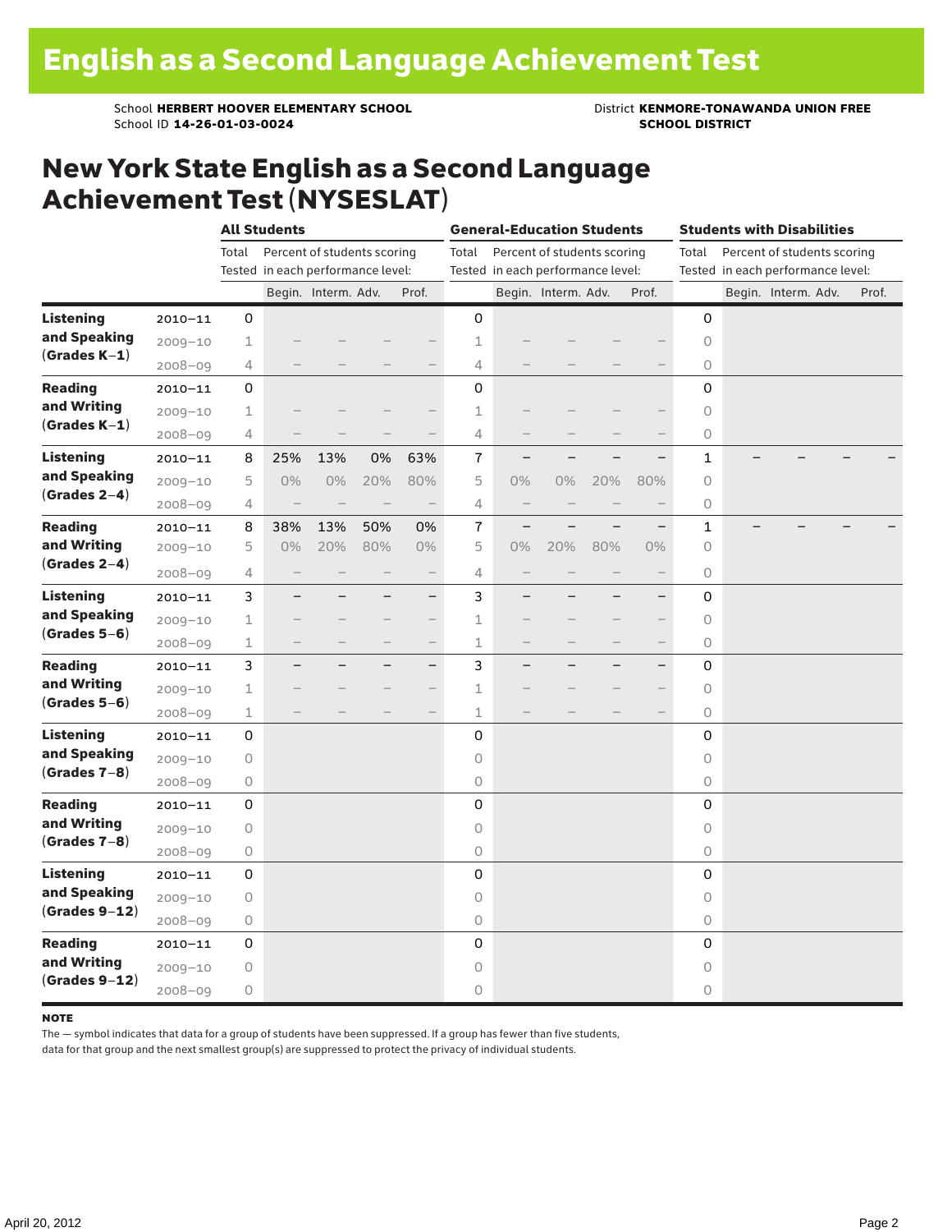School **HERBERT HOOVER ELEMENTARY SCHOOL** District **KENMORE-TONAWANDA UNION FREE**<br>School ID 14-26-01-03-0024 **District SCHOOL DISTRICT** School ID **14-26-01-03-0024** 

### New York State English as a Second Language Achievement Test (NYSESLAT)

|                                                     |             |                                      | <b>All Students</b>      |                                   |     |                          |             | <b>General-Education Students</b> |                             |     | <b>Students with Disabilities</b>    |              |  |                     |  |       |
|-----------------------------------------------------|-------------|--------------------------------------|--------------------------|-----------------------------------|-----|--------------------------|-------------|-----------------------------------|-----------------------------|-----|--------------------------------------|--------------|--|---------------------|--|-------|
|                                                     |             | Percent of students scoring<br>Total |                          |                                   |     |                          | Total       |                                   | Percent of students scoring |     | Percent of students scoring<br>Total |              |  |                     |  |       |
|                                                     |             |                                      |                          | Tested in each performance level: |     |                          |             | Tested in each performance level: |                             |     | Tested in each performance level:    |              |  |                     |  |       |
|                                                     |             |                                      |                          | Begin. Interm. Adv.               |     | Prof.                    |             |                                   | Begin. Interm. Adv.         |     | Prof.                                |              |  | Begin. Interm. Adv. |  | Prof. |
| <b>Listening</b>                                    | $2010 - 11$ | 0                                    |                          |                                   |     |                          | 0           |                                   |                             |     |                                      | 0            |  |                     |  |       |
| and Speaking<br>$(Grades K-1)$                      | $2009 - 10$ | $\mathbf 1$                          |                          |                                   |     |                          | 1           |                                   |                             |     |                                      | 0            |  |                     |  |       |
|                                                     | $2008 - 09$ | 4                                    |                          |                                   |     | $\qquad \qquad$          | 4           |                                   |                             |     |                                      | 0            |  |                     |  |       |
| <b>Reading</b><br>and Writing<br>$(Grades K-1)$     | $2010 - 11$ | 0                                    |                          |                                   |     |                          | 0           |                                   |                             |     |                                      | 0            |  |                     |  |       |
|                                                     | $2009 - 10$ | $\mathbf 1$                          |                          |                                   |     |                          | 1           |                                   |                             |     |                                      | 0            |  |                     |  |       |
|                                                     | $2008 - 09$ | 4                                    |                          |                                   |     |                          | 4           |                                   |                             |     |                                      | 0            |  |                     |  |       |
| <b>Listening</b><br>and Speaking<br>$(Grades 2-4)$  | $2010 - 11$ | 8                                    | 25%                      | 13%                               | 0%  | 63%                      | 7           |                                   |                             |     |                                      | 1            |  |                     |  |       |
|                                                     | $2009 - 10$ | 5                                    | $0\%$                    | 0%                                | 20% | 80%                      | 5           | $0\%$                             | 0%                          | 20% | 80%                                  | 0            |  |                     |  |       |
|                                                     | $2008 - 09$ | 4                                    | $\overline{\phantom{0}}$ | $\overline{\phantom{a}}$          |     | $\overline{\phantom{0}}$ | 4           | $\qquad \qquad -$                 |                             |     |                                      | 0            |  |                     |  |       |
| <b>Reading</b><br>and Writing<br>$(Grades 2-4)$     | $2010 - 11$ | 8                                    | 38%                      | 13%                               | 50% | 0%                       | 7           | $\overline{\phantom{0}}$          |                             |     |                                      | $\mathbf{1}$ |  |                     |  |       |
|                                                     | $2009 - 10$ | 5                                    | $0\%$                    | 20%                               | 80% | $0\%$                    | 5           | 0%                                | 20%                         | 80% | $0\%$                                | 0            |  |                     |  |       |
|                                                     | $2008 - 09$ | 4                                    |                          |                                   |     | $\overline{\phantom{0}}$ | 4           |                                   |                             |     | $\overline{\phantom{0}}$             | 0            |  |                     |  |       |
| <b>Listening</b><br>and Speaking<br>$(Grades 5-6)$  | $2010 - 11$ | 3                                    |                          |                                   |     | $-$                      | 3           |                                   |                             |     | $\overline{\phantom{0}}$             | 0            |  |                     |  |       |
|                                                     | $2009 - 10$ | 1                                    |                          |                                   |     | $\overline{\phantom{0}}$ | 1           |                                   |                             |     |                                      | 0            |  |                     |  |       |
|                                                     | $2008 - 09$ | $\mathbf 1$                          |                          |                                   |     |                          | 1           |                                   |                             |     | $\overline{\phantom{0}}$             | 0            |  |                     |  |       |
| <b>Reading</b><br>and Writing<br>$(Grades 5-6)$     | $2010 - 11$ | 3                                    |                          |                                   |     | $\overline{\phantom{0}}$ | 3           |                                   |                             |     | $\overline{\phantom{0}}$             | 0            |  |                     |  |       |
|                                                     | $2009 - 10$ | $\mathbf 1$                          |                          |                                   |     |                          | 1           |                                   |                             |     | $\overline{\phantom{0}}$             | 0            |  |                     |  |       |
|                                                     | $2008 - 09$ | $\mathbf 1$                          |                          |                                   |     | $\qquad \qquad -$        | $\mathbf 1$ |                                   |                             |     | $\qquad \qquad -$                    | 0            |  |                     |  |       |
| <b>Listening</b><br>and Speaking<br>$(Grades 7-8)$  | $2010 - 11$ | 0                                    |                          |                                   |     |                          | 0           |                                   |                             |     |                                      | 0            |  |                     |  |       |
|                                                     | $2009 - 10$ | $\circ$                              |                          |                                   |     |                          | $\circ$     |                                   |                             |     |                                      | 0            |  |                     |  |       |
|                                                     | $2008 - 09$ | 0                                    |                          |                                   |     |                          | 0           |                                   |                             |     |                                      | 0            |  |                     |  |       |
| Reading<br>and Writing<br>$(Grades 7-8)$            | $2010 - 11$ | 0                                    |                          |                                   |     |                          | 0           |                                   |                             |     |                                      | 0            |  |                     |  |       |
|                                                     | $2009 - 10$ | 0                                    |                          |                                   |     |                          | 0           |                                   |                             |     |                                      | 0            |  |                     |  |       |
|                                                     | $2008 - 09$ | $\bigcirc$                           |                          |                                   |     |                          | 0           |                                   |                             |     |                                      | 0            |  |                     |  |       |
| <b>Listening</b><br>and Speaking<br>$(Grades 9-12)$ | $2010 - 11$ | 0                                    |                          |                                   |     |                          | 0           |                                   |                             |     |                                      | 0            |  |                     |  |       |
|                                                     | $2009 - 10$ | $\circ$                              |                          |                                   |     |                          | 0           |                                   |                             |     |                                      | 0            |  |                     |  |       |
|                                                     | 2008-09     | $\bigcirc$                           |                          |                                   |     |                          | 0           |                                   |                             |     |                                      | 0            |  |                     |  |       |
| <b>Reading</b><br>and Writing<br>$(Grades 9-12)$    | $2010 - 11$ | 0                                    |                          |                                   |     |                          | 0           |                                   |                             |     |                                      | 0            |  |                     |  |       |
|                                                     | $2009 - 10$ | 0                                    |                          |                                   |     |                          | 0           |                                   |                             |     |                                      | 0            |  |                     |  |       |
|                                                     | $2008 - 09$ | 0                                    |                          |                                   |     |                          | 0           |                                   |                             |     |                                      | 0            |  |                     |  |       |

#### note

The — symbol indicates that data for a group of students have been suppressed. If a group has fewer than five students,

data for that group and the next smallest group(s) are suppressed to protect the privacy of individual students.